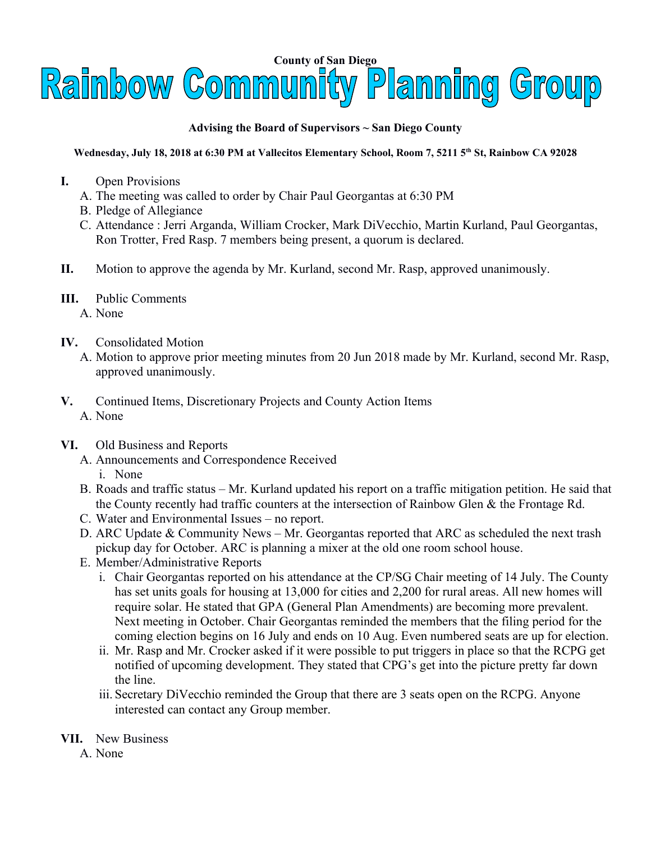

## **Advising the Board of Supervisors ~ San Diego County**

## **Wednesday, July 18, 2018 at 6:30 PM at Vallecitos Elementary School, Room 7, 5211 5th St, Rainbow CA 92028**

- **I.** Open Provisions
	- A. The meeting was called to order by Chair Paul Georgantas at 6:30 PM
	- B. Pledge of Allegiance
	- C. Attendance : Jerri Arganda, William Crocker, Mark DiVecchio, Martin Kurland, Paul Georgantas, Ron Trotter, Fred Rasp. 7 members being present, a quorum is declared.
- **II.** Motion to approve the agenda by Mr. Kurland, second Mr. Rasp, approved unanimously.
- **III.** Public Comments
	- A. None
- **IV.** Consolidated Motion
	- A. Motion to approve prior meeting minutes from 20 Jun 2018 made by Mr. Kurland, second Mr. Rasp, approved unanimously.
- **V.** Continued Items, Discretionary Projects and County Action Items A. None
- **VI.** Old Business and Reports
	- A. Announcements and Correspondence Received i. None
	- B. Roads and traffic status Mr. Kurland updated his report on a traffic mitigation petition. He said that the County recently had traffic counters at the intersection of Rainbow Glen & the Frontage Rd.
	- C. Water and Environmental Issues no report.
	- D. ARC Update & Community News Mr. Georgantas reported that ARC as scheduled the next trash pickup day for October. ARC is planning a mixer at the old one room school house.
	- E. Member/Administrative Reports
		- i. Chair Georgantas reported on his attendance at the CP/SG Chair meeting of 14 July. The County has set units goals for housing at 13,000 for cities and 2,200 for rural areas. All new homes will require solar. He stated that GPA (General Plan Amendments) are becoming more prevalent. Next meeting in October. Chair Georgantas reminded the members that the filing period for the coming election begins on 16 July and ends on 10 Aug. Even numbered seats are up for election.
		- ii. Mr. Rasp and Mr. Crocker asked if it were possible to put triggers in place so that the RCPG get notified of upcoming development. They stated that CPG's get into the picture pretty far down the line.
		- iii. Secretary DiVecchio reminded the Group that there are 3 seats open on the RCPG. Anyone interested can contact any Group member.
- **VII.** New Business
	- A. None